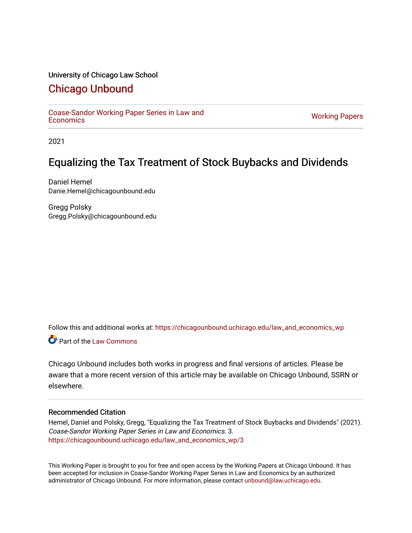#### University of Chicago Law School

## [Chicago Unbound](https://chicagounbound.uchicago.edu/)

[Coase-Sandor Working Paper Series in Law and](https://chicagounbound.uchicago.edu/law_and_economics_wp) [Economics](https://chicagounbound.uchicago.edu/law_and_economics_wp) [Working Papers](https://chicagounbound.uchicago.edu/working_papers) 

2021

## Equalizing the Tax Treatment of Stock Buybacks and Dividends

Daniel Hemel Danie.Hemel@chicagounbound.edu

Gregg Polsky Gregg.Polsky@chicagounbound.edu

Follow this and additional works at: [https://chicagounbound.uchicago.edu/law\\_and\\_economics\\_wp](https://chicagounbound.uchicago.edu/law_and_economics_wp?utm_source=chicagounbound.uchicago.edu%2Flaw_and_economics_wp%2F3&utm_medium=PDF&utm_campaign=PDFCoverPages) 

**C** Part of the [Law Commons](http://network.bepress.com/hgg/discipline/578?utm_source=chicagounbound.uchicago.edu%2Flaw_and_economics_wp%2F3&utm_medium=PDF&utm_campaign=PDFCoverPages)

Chicago Unbound includes both works in progress and final versions of articles. Please be aware that a more recent version of this article may be available on Chicago Unbound, SSRN or elsewhere.

#### Recommended Citation

Hemel, Daniel and Polsky, Gregg, "Equalizing the Tax Treatment of Stock Buybacks and Dividends" (2021). Coase-Sandor Working Paper Series in Law and Economics. 3. [https://chicagounbound.uchicago.edu/law\\_and\\_economics\\_wp/3](https://chicagounbound.uchicago.edu/law_and_economics_wp/3?utm_source=chicagounbound.uchicago.edu%2Flaw_and_economics_wp%2F3&utm_medium=PDF&utm_campaign=PDFCoverPages)

This Working Paper is brought to you for free and open access by the Working Papers at Chicago Unbound. It has been accepted for inclusion in Coase-Sandor Working Paper Series in Law and Economics by an authorized administrator of Chicago Unbound. For more information, please contact [unbound@law.uchicago.edu](mailto:unbound@law.uchicago.edu).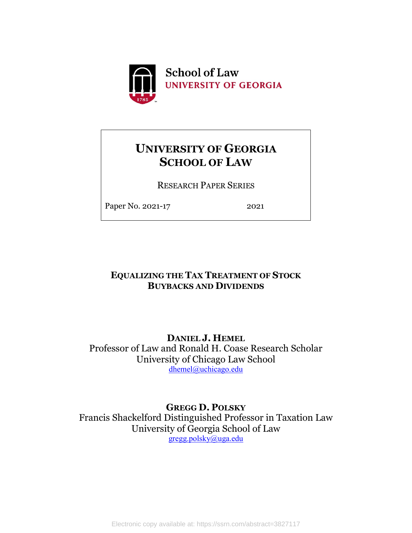

# **UNIVERSITY OF GEORGIA SCHOOL OF LAW**

RESEARCH PAPER SERIES

Paper No. 2021-17 2021

## **EQUALIZING THE TAX TREATMENT OF STOCK BUYBACKS AND DIVIDENDS**

**DANIEL J. HEMEL** Professor of Law and Ronald H. Coase Research Scholar University of Chicago Law School [dhemel@uchicago.edu](mailto:dhemel@uchicago.edu)

**GREGG D. POLSKY** Francis Shackelford Distinguished Professor in Taxation Law University of Georgia School of Law [gregg.polsky@uga.edu](mailto:gregg.polsky@uga.edu)

Electronic copy available at: https://ssrn.com/abstract=3827117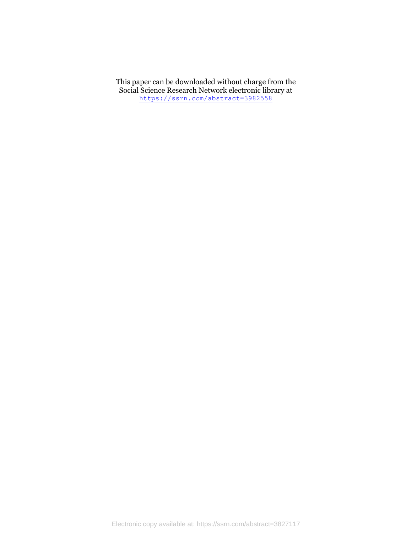This paper can be downloaded without charge from the Social Science Research Network electronic library at <https://ssrn.com/abstract=3982558>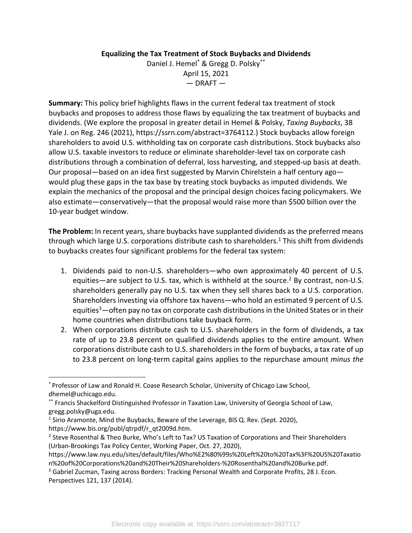### **Equalizing the Tax Treatment of Stock Buybacks and Dividends**

Daniel J. Hemel\* & Gregg D. Polsky\*\* April 15, 2021  $-$  DRAFT  $-$ 

**Summary:** This policy brief highlights flaws in the current federal tax treatment of stock buybacks and proposes to address those flaws by equalizing the tax treatment of buybacks and dividends. (We explore the proposal in greater detail in Hemel & Polsky, *Taxing Buybacks*, 38 Yale J. on Reg. 246 (2021), https://ssrn.com/abstract=3764112.) Stock buybacks allow foreign shareholders to avoid U.S. withholding tax on corporate cash distributions. Stock buybacks also allow U.S. taxable investors to reduce or eliminate shareholder-level tax on corporate cash distributions through a combination of deferral, loss harvesting, and stepped-up basis at death. Our proposal—based on an idea first suggested by Marvin Chirelstein a half century ago would plug these gaps in the tax base by treating stock buybacks as imputed dividends. We explain the mechanics of the proposal and the principal design choices facing policymakers. We also estimate—conservatively—that the proposal would raise more than \$500 billion over the 10-year budget window.

**The Problem:** In recent years, share buybacks have supplanted dividends as the preferred means through which large U.S. corporations distribute cash to shareholders.<sup>1</sup> This shift from dividends to buybacks creates four significant problems for the federal tax system:

- 1. Dividends paid to non-U.S. shareholders—who own approximately 40 percent of U.S. equities—are subject to U.S. tax, which is withheld at the source.<sup>2</sup> By contrast, non-U.S. shareholders generally pay no U.S. tax when they sell shares back to a U.S. corporation. Shareholders investing via offshore tax havens—who hold an estimated 9 percent of U.S. equities<sup>3</sup>—often pay no tax on corporate cash distributions in the United States or in their home countries when distributions take buyback form.
- 2. When corporations distribute cash to U.S. shareholders in the form of dividends, a tax rate of up to 23.8 percent on qualified dividends applies to the entire amount. When corporations distribute cash to U.S. shareholders in the form of buybacks, a tax rate of up to 23.8 percent on long-term capital gains applies to the repurchase amount *minus the*

<sup>\*</sup> Professor of Law and Ronald H. Coase Research Scholar, University of Chicago Law School, dhemel@uchicago.edu.

<sup>\*\*</sup> Francis Shackelford Distinguished Professor in Taxation Law, University of Georgia School of Law, gregg.polsky@uga.edu.

<sup>&</sup>lt;sup>1</sup> Sirio Aramonte, Mind the Buybacks, Beware of the Leverage, BIS Q. Rev. (Sept. 2020), https://www.bis.org/publ/qtrpdf/r\_qt2009d.htm.

<sup>&</sup>lt;sup>2</sup> Steve Rosenthal & Theo Burke, Who's Left to Tax? US Taxation of Corporations and Their Shareholders (Urban-Brookings Tax Policy Center, Working Paper, Oct. 27, 2020),

https://www.law.nyu.edu/sites/default/files/Who%E2%80%99s%20Left%20to%20Tax%3F%20US%20Taxatio n%20of%20Corporations%20and%20Their%20Shareholders-%20Rosenthal%20and%20Burke.pdf.

<sup>&</sup>lt;sup>3</sup> Gabriel Zucman, Taxing across Borders: Tracking Personal Wealth and Corporate Profits, 28 J. Econ. Perspectives 121, 137 (2014).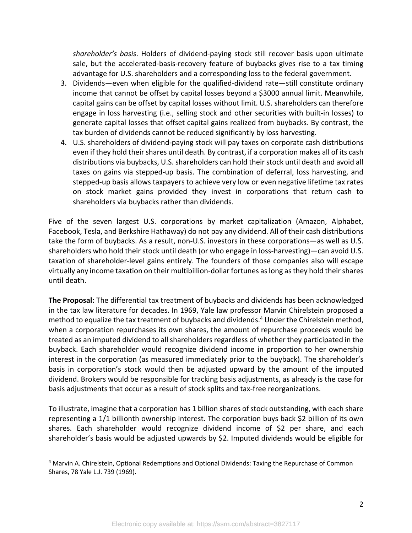*shareholder's basis*. Holders of dividend-paying stock still recover basis upon ultimate sale, but the accelerated-basis-recovery feature of buybacks gives rise to a tax timing advantage for U.S. shareholders and a corresponding loss to the federal government.

- 3. Dividends—even when eligible for the qualified-dividend rate—still constitute ordinary income that cannot be offset by capital losses beyond a \$3000 annual limit. Meanwhile, capital gains can be offset by capital losses without limit. U.S. shareholders can therefore engage in loss harvesting (i.e., selling stock and other securities with built-in losses) to generate capital losses that offset capital gains realized from buybacks. By contrast, the tax burden of dividends cannot be reduced significantly by loss harvesting.
- 4. U.S. shareholders of dividend-paying stock will pay taxes on corporate cash distributions even if they hold their shares until death. By contrast, if a corporation makes all of its cash distributions via buybacks, U.S. shareholders can hold their stock until death and avoid all taxes on gains via stepped-up basis. The combination of deferral, loss harvesting, and stepped-up basis allows taxpayers to achieve very low or even negative lifetime tax rates on stock market gains provided they invest in corporations that return cash to shareholders via buybacks rather than dividends.

Five of the seven largest U.S. corporations by market capitalization (Amazon, Alphabet, Facebook, Tesla, and Berkshire Hathaway) do not pay any dividend. All of their cash distributions take the form of buybacks. As a result, non-U.S. investors in these corporations—as well as U.S. shareholders who hold their stock until death (or who engage in loss-harvesting)—can avoid U.S. taxation of shareholder-level gains entirely. The founders of those companies also will escape virtually any income taxation on their multibillion-dollar fortunes as long as they hold their shares until death.

**The Proposal:** The differential tax treatment of buybacks and dividends has been acknowledged in the tax law literature for decades. In 1969, Yale law professor Marvin Chirelstein proposed a method to equalize the tax treatment of buybacks and dividends.<sup>4</sup> Under the Chirelstein method, when a corporation repurchases its own shares, the amount of repurchase proceeds would be treated as an imputed dividend to all shareholders regardless of whether they participated in the buyback. Each shareholder would recognize dividend income in proportion to her ownership interest in the corporation (as measured immediately prior to the buyback). The shareholder's basis in corporation's stock would then be adjusted upward by the amount of the imputed dividend. Brokers would be responsible for tracking basis adjustments, as already is the case for basis adjustments that occur as a result of stock splits and tax-free reorganizations.

To illustrate, imagine that a corporation has 1 billion shares of stock outstanding, with each share representing a 1/1 billionth ownership interest. The corporation buys back \$2 billion of its own shares. Each shareholder would recognize dividend income of \$2 per share, and each shareholder's basis would be adjusted upwards by \$2. Imputed dividends would be eligible for

<sup>4</sup> Marvin A. Chirelstein, Optional Redemptions and Optional Dividends: Taxing the Repurchase of Common Shares, 78 Yale L.J. 739 (1969).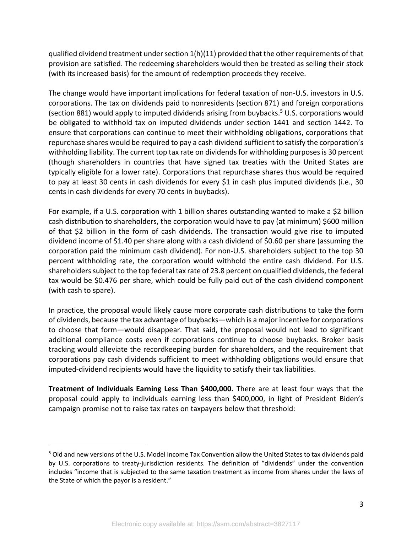qualified dividend treatment under section 1(h)(11) provided that the other requirements of that provision are satisfied. The redeeming shareholders would then be treated as selling their stock (with its increased basis) for the amount of redemption proceeds they receive.

The change would have important implications for federal taxation of non-U.S. investors in U.S. corporations. The tax on dividends paid to nonresidents (section 871) and foreign corporations (section 881) would apply to imputed dividends arising from buybacks.<sup>5</sup> U.S. corporations would be obligated to withhold tax on imputed dividends under section 1441 and section 1442. To ensure that corporations can continue to meet their withholding obligations, corporations that repurchase shares would be required to pay a cash dividend sufficient to satisfy the corporation's withholding liability. The current top tax rate on dividends for withholding purposes is 30 percent (though shareholders in countries that have signed tax treaties with the United States are typically eligible for a lower rate). Corporations that repurchase shares thus would be required to pay at least 30 cents in cash dividends for every \$1 in cash plus imputed dividends (i.e., 30 cents in cash dividends for every 70 cents in buybacks).

For example, if a U.S. corporation with 1 billion shares outstanding wanted to make a \$2 billion cash distribution to shareholders, the corporation would have to pay (at minimum) \$600 million of that \$2 billion in the form of cash dividends. The transaction would give rise to imputed dividend income of \$1.40 per share along with a cash dividend of \$0.60 per share (assuming the corporation paid the minimum cash dividend). For non-U.S. shareholders subject to the top 30 percent withholding rate, the corporation would withhold the entire cash dividend. For U.S. shareholders subject to the top federal tax rate of 23.8 percent on qualified dividends, the federal tax would be \$0.476 per share, which could be fully paid out of the cash dividend component (with cash to spare).

In practice, the proposal would likely cause more corporate cash distributions to take the form of dividends, because the tax advantage of buybacks—which is a major incentive for corporations to choose that form—would disappear. That said, the proposal would not lead to significant additional compliance costs even if corporations continue to choose buybacks. Broker basis tracking would alleviate the recordkeeping burden for shareholders, and the requirement that corporations pay cash dividends sufficient to meet withholding obligations would ensure that imputed-dividend recipients would have the liquidity to satisfy their tax liabilities.

**Treatment of Individuals Earning Less Than \$400,000.** There are at least four ways that the proposal could apply to individuals earning less than \$400,000, in light of President Biden's campaign promise not to raise tax rates on taxpayers below that threshold:

<sup>5</sup> Old and new versions of the U.S. Model Income Tax Convention allow the United States to tax dividends paid by U.S. corporations to treaty-jurisdiction residents. The definition of "dividends" under the convention includes "income that is subjected to the same taxation treatment as income from shares under the laws of the State of which the payor is a resident."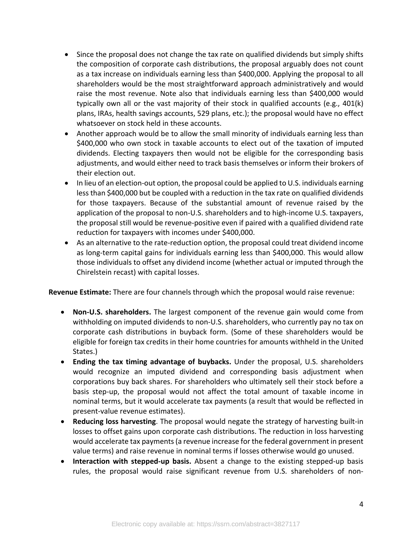- Since the proposal does not change the tax rate on qualified dividends but simply shifts the composition of corporate cash distributions, the proposal arguably does not count as a tax increase on individuals earning less than \$400,000. Applying the proposal to all shareholders would be the most straightforward approach administratively and would raise the most revenue. Note also that individuals earning less than \$400,000 would typically own all or the vast majority of their stock in qualified accounts (e.g., 401(k) plans, IRAs, health savings accounts, 529 plans, etc.); the proposal would have no effect whatsoever on stock held in these accounts.
- Another approach would be to allow the small minority of individuals earning less than \$400,000 who own stock in taxable accounts to elect out of the taxation of imputed dividends. Electing taxpayers then would not be eligible for the corresponding basis adjustments, and would either need to track basis themselves or inform their brokers of their election out.
- In lieu of an election-out option, the proposal could be applied to U.S. individuals earning less than \$400,000 but be coupled with a reduction in the tax rate on qualified dividends for those taxpayers. Because of the substantial amount of revenue raised by the application of the proposal to non-U.S. shareholders and to high-income U.S. taxpayers, the proposal still would be revenue-positive even if paired with a qualified dividend rate reduction for taxpayers with incomes under \$400,000.
- As an alternative to the rate-reduction option, the proposal could treat dividend income as long-term capital gains for individuals earning less than \$400,000. This would allow those individuals to offset any dividend income (whether actual or imputed through the Chirelstein recast) with capital losses.

**Revenue Estimate:** There are four channels through which the proposal would raise revenue:

- **Non-U.S. shareholders.** The largest component of the revenue gain would come from withholding on imputed dividends to non-U.S. shareholders, who currently pay no tax on corporate cash distributions in buyback form. (Some of these shareholders would be eligible for foreign tax credits in their home countries for amounts withheld in the United States.)
- **Ending the tax timing advantage of buybacks.** Under the proposal, U.S. shareholders would recognize an imputed dividend and corresponding basis adjustment when corporations buy back shares. For shareholders who ultimately sell their stock before a basis step-up, the proposal would not affect the total amount of taxable income in nominal terms, but it would accelerate tax payments (a result that would be reflected in present-value revenue estimates).
- **Reducing loss harvesting**. The proposal would negate the strategy of harvesting built-in losses to offset gains upon corporate cash distributions. The reduction in loss harvesting would accelerate tax payments (a revenue increase for the federal government in present value terms) and raise revenue in nominal terms if losses otherwise would go unused.
- **Interaction with stepped-up basis.** Absent a change to the existing stepped-up basis rules, the proposal would raise significant revenue from U.S. shareholders of non-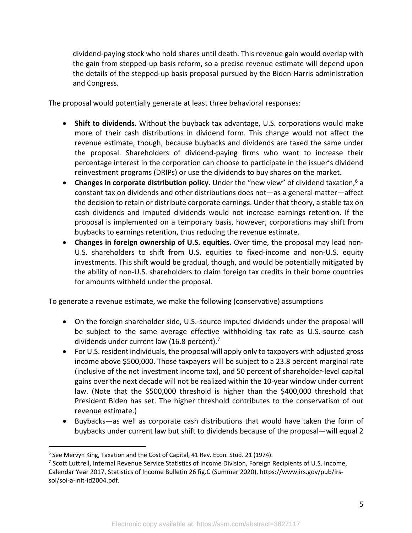dividend-paying stock who hold shares until death. This revenue gain would overlap with the gain from stepped-up basis reform, so a precise revenue estimate will depend upon the details of the stepped-up basis proposal pursued by the Biden-Harris administration and Congress.

The proposal would potentially generate at least three behavioral responses:

- **Shift to dividends.** Without the buyback tax advantage, U.S. corporations would make more of their cash distributions in dividend form. This change would not affect the revenue estimate, though, because buybacks and dividends are taxed the same under the proposal. Shareholders of dividend-paying firms who want to increase their percentage interest in the corporation can choose to participate in the issuer's dividend reinvestment programs (DRIPs) or use the dividends to buy shares on the market.
- **Changes in corporate distribution policy.** Under the "new view" of dividend taxation,6 a constant tax on dividends and other distributions does not—as a general matter—affect the decision to retain or distribute corporate earnings. Under that theory, a stable tax on cash dividends and imputed dividends would not increase earnings retention. If the proposal is implemented on a temporary basis, however, corporations may shift from buybacks to earnings retention, thus reducing the revenue estimate.
- **Changes in foreign ownership of U.S. equities.** Over time, the proposal may lead non-U.S. shareholders to shift from U.S. equities to fixed-income and non-U.S. equity investments. This shift would be gradual, though, and would be potentially mitigated by the ability of non-U.S. shareholders to claim foreign tax credits in their home countries for amounts withheld under the proposal.

To generate a revenue estimate, we make the following (conservative) assumptions

- On the foreign shareholder side, U.S.-source imputed dividends under the proposal will be subject to the same average effective withholding tax rate as U.S.-source cash dividends under current law (16.8 percent).<sup>7</sup>
- For U.S. resident individuals, the proposal will apply only to taxpayers with adjusted gross income above \$500,000. Those taxpayers will be subject to a 23.8 percent marginal rate (inclusive of the net investment income tax), and 50 percent of shareholder-level capital gains over the next decade will not be realized within the 10-year window under current law. (Note that the \$500,000 threshold is higher than the \$400,000 threshold that President Biden has set. The higher threshold contributes to the conservatism of our revenue estimate.)
- Buybacks—as well as corporate cash distributions that would have taken the form of buybacks under current law but shift to dividends because of the proposal—will equal 2

<sup>6</sup> See Mervyn King, Taxation and the Cost of Capital, 41 Rev. Econ. Stud. 21 (1974).

<sup>7</sup> Scott Luttrell, Internal Revenue Service Statistics of Income Division, Foreign Recipients of U.S. Income, Calendar Year 2017, Statistics of Income Bulletin 26 fig.C (Summer 2020), https://www.irs.gov/pub/irssoi/soi-a-init-id2004.pdf.